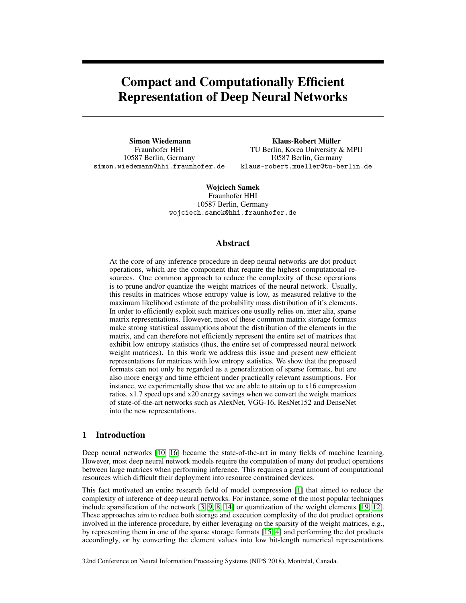# Compact and Computationally Efficient Representation of Deep Neural Networks

Simon Wiedemann Fraunhofer HHI 10587 Berlin, Germany simon.wiedemann@hhi.fraunhofer.de

Klaus-Robert Müller TU Berlin, Korea University & MPII 10587 Berlin, Germany klaus-robert.mueller@tu-berlin.de

Wojciech Samek Fraunhofer HHI 10587 Berlin, Germany wojciech.samek@hhi.fraunhofer.de

### Abstract

At the core of any inference procedure in deep neural networks are dot product operations, which are the component that require the highest computational resources. One common approach to reduce the complexity of these operations is to prune and/or quantize the weight matrices of the neural network. Usually, this results in matrices whose entropy value is low, as measured relative to the maximum likelihood estimate of the probability mass distribution of it's elements. In order to efficiently exploit such matrices one usually relies on, inter alia, sparse matrix representations. However, most of these common matrix storage formats make strong statistical assumptions about the distribution of the elements in the matrix, and can therefore not efficiently represent the entire set of matrices that exhibit low entropy statistics (thus, the entire set of compressed neural network weight matrices). In this work we address this issue and present new efficient representations for matrices with low entropy statistics. We show that the proposed formats can not only be regarded as a generalization of sparse formats, but are also more energy and time efficient under practically relevant assumptions. For instance, we experimentally show that we are able to attain up to x16 compression ratios, x1.7 speed ups and x20 energy savings when we convert the weight matrices of state-of-the-art networks such as AlexNet, VGG-16, ResNet152 and DenseNet into the new representations.

# 1 Introduction

Deep neural networks [\[10,](#page-3-0) [16\]](#page-3-1) became the state-of-the-art in many fields of machine learning. However, most deep neural network models require the computation of many dot product operations between large matrices when performing inference. This requires a great amount of computational resources which difficult their deployment into resource constrained devices.

This fact motivated an entire research field of model compression [\[1\]](#page-3-2) that aimed to reduce the complexity of inference of deep neural networks. For instance, some of the most popular techniques include sparsification of the network [\[3,](#page-3-3) [9,](#page-3-4) [8,](#page-3-5) [14\]](#page-3-6) or quantization of the weight elements [\[19,](#page-4-0) [12\]](#page-3-7). These approaches aim to reduce both storage and execution complexity of the dot product oprations involved in the inference procedure, by either leveraging on the sparsity of the weight matrices, e.g., by representing them in one of the sparse storage formats [\[15,](#page-3-8) [4\]](#page-3-9) and performing the dot products accordingly, or by converting the element values into low bit-length numerical representations.

32nd Conference on Neural Information Processing Systems (NIPS 2018), Montréal, Canada.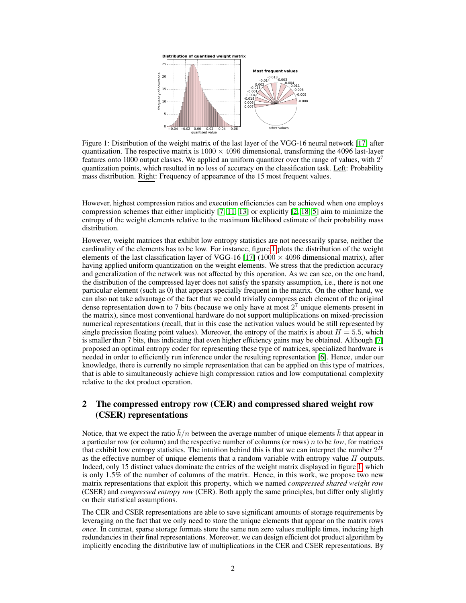<span id="page-1-0"></span>

Figure 1: Distribution of the weight matrix of the last layer of the VGG-16 neural network [\[17\]](#page-3-10) after quantization. The respective matrix is  $1000 \times 4096$  dimensional, transforming the 4096 last-layer features onto 1000 output classes. We applied an uniform quantizer over the range of values, with  $2^7$ quantization points, which resulted in no loss of accuracy on the classification task. Left: Probability mass distribution. Right: Frequency of appearance of the 15 most frequent values.

However, highest compression ratios and execution efficiencies can be achieved when one employs compression schemes that either implicitly [\[7,](#page-3-11) [11,](#page-3-12) [13\]](#page-3-13) or explicitly [\[2,](#page-3-14) [18,](#page-3-15) [5\]](#page-3-16) aim to minimize the entropy of the weight elements relative to the maximum likelihood estimate of their probability mass distribution.

However, weight matrices that exhibit low entropy statistics are not necessarily sparse, neither the cardinality of the elements has to be low. For instance, figure [1](#page-1-0) plots the distribution of the weight elements of the last classification layer of VGG-16 [\[17\]](#page-3-10) (1000  $\times$  4096 dimensional matrix), after having applied uniform quantization on the weight elements. We stress that the prediction accuracy and generalization of the network was not affected by this operation. As we can see, on the one hand, the distribution of the compressed layer does not satisfy the sparsity assumption, i.e., there is not one particular element (such as 0) that appears specially frequent in the matrix. On the other hand, we can also not take advantage of the fact that we could trivially compress each element of the original dense representation down to 7 bits (because we only have at most  $2<sup>7</sup>$  unique elements present in the matrix), since most conventional hardware do not support multiplications on mixed-precission numerical representations (recall, that in this case the activation values would be still represented by single precission floating point values). Moreover, the entropy of the matrix is about  $H = 5.5$ , which is smaller than 7 bits, thus indicating that even higher efficiency gains may be obtained. Although [\[7\]](#page-3-11) proposed an optimal entropy coder for representing these type of matrices, specialized hardware is needed in order to efficiently run inference under the resulting representation [\[6\]](#page-3-17). Hence, under our knowledge, there is currently no simple representation that can be applied on this type of matrices, that is able to simultaneously achieve high compression ratios and low computational complexity relative to the dot product operation.

# 2 The compressed entropy row (CER) and compressed shared weight row (CSER) representations

Notice, that we expect the ratio  $k/n$  between the average number of unique elements k that appear in a particular row (or column) and the respective number of columns (or rows) n to be *low*, for matrices that exhibit low entropy statistics. The intuition behind this is that we can interpret the number  $2<sup>H</sup>$ as the effective number of unique elements that a random variable with entropy value  $H$  outputs. Indeed, only 15 distinct values dominate the entries of the weight matrix displayed in figure [1,](#page-1-0) which is only 1.5% of the number of columns of the matrix. Hence, in this work, we propose two new matrix representations that exploit this property, which we named *compressed shared weight row* (CSER) and *compressed entropy row* (CER). Both apply the same principles, but differ only slightly on their statistical assumptions.

The CER and CSER representations are able to save significant amounts of storage requirements by leveraging on the fact that we only need to store the unique elements that appear on the matrix rows *once*. In contrast, sparse storage formats store the same non zero values multiple times, inducing high redundancies in their final representations. Moreover, we can design efficient dot product algorithm by implicitly encoding the distributive law of multiplications in the CER and CSER representations. By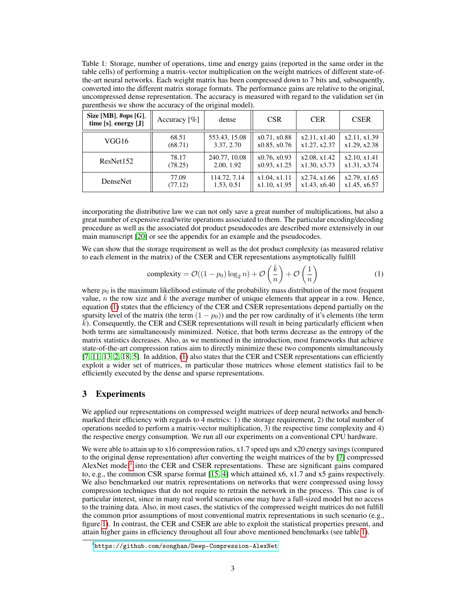<span id="page-2-2"></span>Table 1: Storage, number of operations, time and energy gains (reported in the same order in the table cells) of performing a matrix-vector multiplication on the weight matrices of different state-ofthe-art neural networks. Each weight matrix has been compressed down to 7 bits and, subsequently, converted into the different matrix storage formats. The performance gains are relative to the original, uncompressed dense representation. The accuracy is measured with regard to the validation set (in parenthesis we show the accuracy of the original model).

| Size [MB], #ops [G],<br>time $[s]$ , energy $[J]$ | Accuracy $[\%]$ | dense         | <b>CSR</b>   | <b>CER</b>   | <b>CSER</b>  |
|---------------------------------------------------|-----------------|---------------|--------------|--------------|--------------|
| VGG16                                             | 68.51           | 553.43, 15.08 | x0.71, x0.88 | x2.11, x1.40 | x2.11, x1.39 |
|                                                   | (68.71)         | 3.37, 2.70    | x0.85, x0.76 | x1.27, x2.37 | x1.29, x2.38 |
| ResNet152                                         | 78.17           | 240.77, 10.08 | x0.76, x0.93 | x2.08, x1.42 | x2.10, x1.41 |
|                                                   | (78.25)         | 2.00, 1.92    | x0.93, x1.25 | x1.30, x3.73 | x1.31, x3.74 |
| DenseNet                                          | 77.09           | 114.72, 7.14  | x1.04, x1.11 | x2.74, x1.66 | x2.79, x1.65 |
|                                                   | (77.12)         | 1.53, 0.51    | x1.10, x1.95 | x1.43. x6.40 | x1.45, x6.57 |

incorporating the distributive law we can not only save a great number of multiplications, but also a great number of expensive read/write operations associated to them. The particular encoding/decoding procedure as well as the associated dot product pseudocodes are described more extensively in our main manuscript [\[20\]](#page-4-1) or see the appendix for an example and the pseudocodes.

We can show that the storage requirement as well as the dot product complexity (as measured relative to each element in the matrix) of the CSER and CER representations asymptotically fulfill

<span id="page-2-0"></span>complexity = 
$$
\mathcal{O}((1 - p_0) \log_2 n) + \mathcal{O}\left(\frac{\bar{k}}{n}\right) + \mathcal{O}\left(\frac{1}{n}\right)
$$
 (1)

where  $p_0$  is the maximum likelihood estimate of the probability mass distribution of the most frequent value, n the row size and  $k$  the average number of unique elements that appear in a row. Hence, equation [\(1\)](#page-2-0) states that the efficiency of the CER and CSER representations depend partially on the sparsity level of the matrix (the term  $(1 - p_0)$ ) and the per row cardinalty of it's elements (the term  $k$ ). Consequently, the CER and CSER representations will result in being particularly efficient when both terms are simultaneously minimized. Notice, that both terms decrease as the entropy of the matrix statistics decreases. Also, as we mentioned in the introduction, most frameworks that achieve state-of-the-art compression ratios aim to directly minimize these two components simultaneously  $[7, 11, 13, 2, 18, 5]$  $[7, 11, 13, 2, 18, 5]$  $[7, 11, 13, 2, 18, 5]$  $[7, 11, 13, 2, 18, 5]$  $[7, 11, 13, 2, 18, 5]$  $[7, 11, 13, 2, 18, 5]$  $[7, 11, 13, 2, 18, 5]$  $[7, 11, 13, 2, 18, 5]$  $[7, 11, 13, 2, 18, 5]$  $[7, 11, 13, 2, 18, 5]$  $[7, 11, 13, 2, 18, 5]$ . In addition,  $(1)$  also states that the CER and CSER representations can efficiently exploit a wider set of matrices, in particular those matrices whose element statistics fail to be efficiently executed by the dense and sparse representations.

## 3 Experiments

We applied our representations on compressed weight matrices of deep neural networks and benchmarked their efficiency with regards to 4 metrics: 1) the storage requirement, 2) the total number of operations needed to perform a matrix-vector multiplication, 3) the respective time complexity and 4) the respective energy consumption. We run all our experiments on a conventional CPU hardware.

We were able to attain up to x16 compression ratios, x1.7 speed ups and x20 energy savings (compared to the original dense representation) after converting the weight matrices of the by [\[7\]](#page-3-11) compressed AlexNet model<sup>[1](#page-2-1)</sup> into the CER and CSER representations. These are significant gains compared to, e.g., the common CSR sparse format [\[15,](#page-3-8) [4\]](#page-3-9) which attained x6, x1.7 and x5 gains respectively. We also benchmarked our matrix representations on networks that were compressed using lossy compression techniques that do not require to retrain the network in the process. This case is of particular interest, since in many real world scenarios one may have a full-sized model but no access to the training data. Also, in most cases, the statistics of the compressed weight matrices do not fulfill the common prior assumptions of most conventional matrix representations in such scenario (e.g., figure [1\)](#page-1-0). In contrast, the CER and CSER are able to exploit the statistical properties present, and attain higher gains in efficiency throughout all four above mentioned benchmarks (see table [1\)](#page-2-2).

<span id="page-2-1"></span><sup>1</sup> <https://github.com/songhan/Deep-Compression-AlexNet>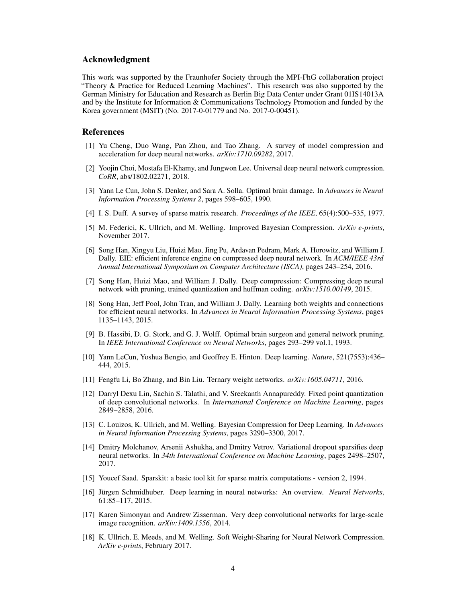#### Acknowledgment

This work was supported by the Fraunhofer Society through the MPI-FhG collaboration project "Theory & Practice for Reduced Learning Machines". This research was also supported by the German Ministry for Education and Research as Berlin Big Data Center under Grant 01IS14013A and by the Institute for Information & Communications Technology Promotion and funded by the Korea government (MSIT) (No. 2017-0-01779 and No. 2017-0-00451).

#### References

- <span id="page-3-2"></span>[1] Yu Cheng, Duo Wang, Pan Zhou, and Tao Zhang. A survey of model compression and acceleration for deep neural networks. *arXiv:1710.09282*, 2017.
- <span id="page-3-14"></span>[2] Yoojin Choi, Mostafa El-Khamy, and Jungwon Lee. Universal deep neural network compression. *CoRR*, abs/1802.02271, 2018.
- <span id="page-3-3"></span>[3] Yann Le Cun, John S. Denker, and Sara A. Solla. Optimal brain damage. In *Advances in Neural Information Processing Systems 2*, pages 598–605, 1990.
- <span id="page-3-9"></span>[4] I. S. Duff. A survey of sparse matrix research. *Proceedings of the IEEE*, 65(4):500–535, 1977.
- <span id="page-3-16"></span>[5] M. Federici, K. Ullrich, and M. Welling. Improved Bayesian Compression. *ArXiv e-prints*, November 2017.
- <span id="page-3-17"></span>[6] Song Han, Xingyu Liu, Huizi Mao, Jing Pu, Ardavan Pedram, Mark A. Horowitz, and William J. Dally. EIE: efficient inference engine on compressed deep neural network. In *ACM/IEEE 43rd Annual International Symposium on Computer Architecture (ISCA)*, pages 243–254, 2016.
- <span id="page-3-11"></span>[7] Song Han, Huizi Mao, and William J. Dally. Deep compression: Compressing deep neural network with pruning, trained quantization and huffman coding. *arXiv:1510.00149*, 2015.
- <span id="page-3-5"></span>[8] Song Han, Jeff Pool, John Tran, and William J. Dally. Learning both weights and connections for efficient neural networks. In *Advances in Neural Information Processing Systems*, pages 1135–1143, 2015.
- <span id="page-3-4"></span>[9] B. Hassibi, D. G. Stork, and G. J. Wolff. Optimal brain surgeon and general network pruning. In *IEEE International Conference on Neural Networks*, pages 293–299 vol.1, 1993.
- <span id="page-3-0"></span>[10] Yann LeCun, Yoshua Bengio, and Geoffrey E. Hinton. Deep learning. *Nature*, 521(7553):436– 444, 2015.
- <span id="page-3-12"></span>[11] Fengfu Li, Bo Zhang, and Bin Liu. Ternary weight networks. *arXiv:1605.04711*, 2016.
- <span id="page-3-7"></span>[12] Darryl Dexu Lin, Sachin S. Talathi, and V. Sreekanth Annapureddy. Fixed point quantization of deep convolutional networks. In *International Conference on Machine Learning*, pages 2849–2858, 2016.
- <span id="page-3-13"></span>[13] C. Louizos, K. Ullrich, and M. Welling. Bayesian Compression for Deep Learning. In *Advances in Neural Information Processing Systems*, pages 3290–3300, 2017.
- <span id="page-3-6"></span>[14] Dmitry Molchanov, Arsenii Ashukha, and Dmitry Vetrov. Variational dropout sparsifies deep neural networks. In *34th International Conference on Machine Learning*, pages 2498–2507, 2017.
- <span id="page-3-8"></span>[15] Youcef Saad. Sparskit: a basic tool kit for sparse matrix computations - version 2, 1994.
- <span id="page-3-1"></span>[16] Jürgen Schmidhuber. Deep learning in neural networks: An overview. *Neural Networks*, 61:85–117, 2015.
- <span id="page-3-10"></span>[17] Karen Simonyan and Andrew Zisserman. Very deep convolutional networks for large-scale image recognition. *arXiv:1409.1556*, 2014.
- <span id="page-3-15"></span>[18] K. Ullrich, E. Meeds, and M. Welling. Soft Weight-Sharing for Neural Network Compression. *ArXiv e-prints*, February 2017.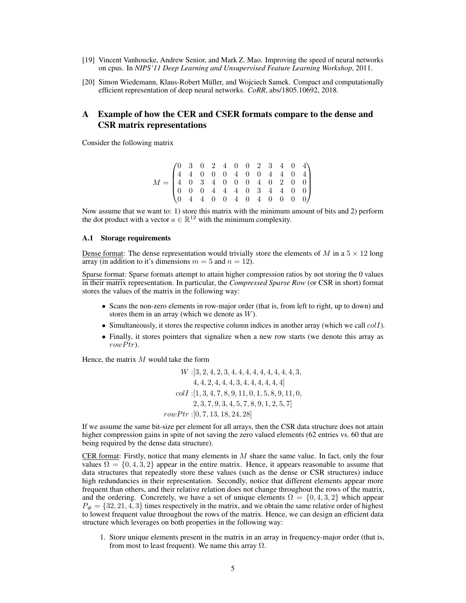- <span id="page-4-0"></span>[19] Vincent Vanhoucke, Andrew Senior, and Mark Z. Mao. Improving the speed of neural networks on cpus. In *NIPS'11 Deep Learning and Unsupervised Feature Learning Workshop*, 2011.
- <span id="page-4-1"></span>[20] Simon Wiedemann, Klaus-Robert Müller, and Wojciech Samek. Compact and computationally efficient representation of deep neural networks. *CoRR*, abs/1805.10692, 2018.

# A Example of how the CER and CSER formats compare to the dense and CSR matrix representations

Consider the following matrix

| $M = \begin{pmatrix} 0 & 3 & 0 & 2 & 4 & 0 & 0 & 2 & 3 & 4 & 0 & 4 \ 4 & 4 & 0 & 0 & 0 & 4 & 0 & 0 & 4 & 4 & 0 & 4 \ 4 & 0 & 3 & 4 & 0 & 0 & 0 & 4 & 0 & 2 & 0 & 0 \ 0 & 0 & 0 & 4 & 4 & 4 & 0 & 3 & 4 & 4 & 0 & 0 \ 0 & 4 & 4 & 0 & 0 & 4 & 0 & 4 & 0 & 0 & 0 & 0 \end{pmatrix}$ |  |  |  |  |  |  |
|-----------------------------------------------------------------------------------------------------------------------------------------------------------------------------------------------------------------------------------------------------------------------------------|--|--|--|--|--|--|

Now assume that we want to: 1) store this matrix with the minimum amount of bits and 2) perform the dot product with a vector  $a \in \mathbb{R}^{12}$  with the minimum complexity.

#### A.1 Storage requirements

Dense format: The dense representation would trivially store the elements of M in a  $5 \times 12$  long array (in addition to it's dimensions  $m = 5$  and  $n = 12$ ).

Sparse format: Sparse formats attempt to attain higher compression ratios by not storing the 0 values in their matrix representation. In particular, the *Compressed Sparse Row* (or CSR in short) format stores the values of the matrix in the following way:

- Scans the non-zero elements in row-major order (that is, from left to right, up to down) and stores them in an array (which we denote as W).
- Simultaneously, it stores the respective column indices in another array (which we call  $coll$ ).
- Finally, it stores pointers that signalize when a new row starts (we denote this array as  $row Ptr$ ).

Hence, the matrix  $M$  would take the form

$$
W: [3, 2, 4, 2, 3, 4, 4, 4, 4, 4, 4, 4, 4, 4, 3, 3, 4, 4, 2, 4, 4, 4, 3, 4, 4, 4, 4, 4, 4, 4]
$$
  

$$
coll: [1, 3, 4, 7, 8, 9, 11, 0, 1, 5, 8, 9, 11, 0, 2, 3, 7, 9, 3, 4, 5, 7, 8, 9, 1, 2, 5, 7]
$$
  

$$
rowPtr: [0, 7, 13, 18, 24, 28]
$$

If we assume the same bit-size per element for all arrays, then the CSR data structure does not attain higher compression gains in spite of not saving the zero valued elements (62 entries vs. 60 that are being required by the dense data structure).

CER format: Firstly, notice that many elements in  $M$  share the same value. In fact, only the four values  $\Omega = \{0, 4, 3, 2\}$  appear in the entire matrix. Hence, it appears reasonable to assume that data structures that repeatedly store these values (such as the dense or CSR structures) induce high redundancies in their representation. Secondly, notice that different elements appear more frequent than others, and their relative relation does not change throughout the rows of the matrix, and the ordering. Concretely, we have a set of unique elements  $\Omega = \{0, 4, 3, 2\}$  which appear  $P_{\#} = \{32, 21, 4, 3\}$  times respectively in the matrix, and we obtain the same relative order of highest to lowest frequent value throughout the rows of the matrix. Hence, we can design an efficient data structure which leverages on both properties in the following way:

1. Store unique elements present in the matrix in an array in frequency-major order (that is, from most to least frequent). We name this array  $\Omega$ .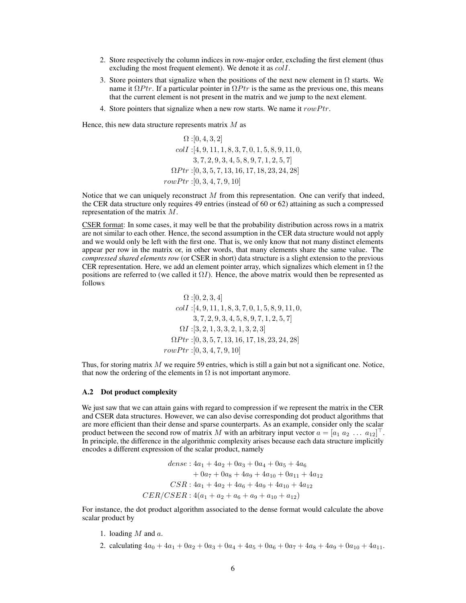- 2. Store respectively the column indices in row-major order, excluding the first element (thus excluding the most frequent element). We denote it as colI.
- 3. Store pointers that signalize when the positions of the next new element in  $\Omega$  starts. We name it  $\Omega P$ tr. If a particular pointer in  $\Omega P$ tr is the same as the previous one, this means that the current element is not present in the matrix and we jump to the next element.
- 4. Store pointers that signalize when a new row starts. We name it  $rowPtr$ .

Hence, this new data structure represents matrix  $M$  as

 $\Omega$  : [0, 4, 3, 2]  $coll$ : [4, 9, 11, 1, 8, 3, 7, 0, 1, 5, 8, 9, 11, 0, 3, 7, 2, 9, 3, 4, 5, 8, 9, 7, 1, 2, 5, 7]  $\Omega P tr : [0, 3, 5, 7, 13, 16, 17, 18, 23, 24, 28]$  $rowPtr: [0, 3, 4, 7, 9, 10]$ 

Notice that we can uniquely reconstruct  $M$  from this representation. One can verify that indeed, the CER data structure only requires 49 entries (instead of 60 or 62) attaining as such a compressed representation of the matrix M.

CSER format: In some cases, it may well be that the probability distribution across rows in a matrix are not similar to each other. Hence, the second assumption in the CER data structure would not apply and we would only be left with the first one. That is, we only know that not many distinct elements appear per row in the matrix or, in other words, that many elements share the same value. The *compressed shared elements row* (or CSER in short) data structure is a slight extension to the previous CER representation. Here, we add an element pointer array, which signalizes which element in  $\Omega$  the positions are referred to (we called it  $\Omega I$ ). Hence, the above matrix would then be represented as follows

$$
\Omega:[0,2,3,4]
$$
  
colI:[4,9,11,1,8,3,7,0,1,5,8,9,11,0,  
3,7,2,9,3,4,5,8,9,7,1,2,5,7]  
ΩI:[3,2,1,3,3,2,1,3,2,3]  
ΩPtr:[0,3,5,7,13,16,17,18,23,24,28]  
rowPtr:[0,3,4,7,9,10]

Thus, for storing matrix  $M$  we require 59 entries, which is still a gain but not a significant one. Notice, that now the ordering of the elements in  $\Omega$  is not important anymore.

#### A.2 Dot product complexity

We just saw that we can attain gains with regard to compression if we represent the matrix in the CER and CSER data structures. However, we can also devise corresponding dot product algorithms that are more efficient than their dense and sparse counterparts. As an example, consider only the scalar product between the second row of matrix M with an arbitrary input vector  $a = [a_1 \ a_2 \ \dots \ a_{12}]^{\top}$ . In principle, the difference in the algorithmic complexity arises because each data structure implicitly encodes a different expression of the scalar product, namely

> dense :  $4a_1 + 4a_2 + 0a_3 + 0a_4 + 0a_5 + 4a_6$  $+ 0a_7 + 0a_8 + 4a_9 + 4a_{10} + 0a_{11} + 4a_{12}$  $CSR: 4a_1+4a_2+4a_6+4a_9+4a_{10}+4a_{12}$  $CER/CSER: 4(a_1 + a_2 + a_6 + a_9 + a_{10} + a_{12})$

For instance, the dot product algorithm associated to the dense format would calculate the above scalar product by

- 1. loading  $M$  and  $a$ .
- 2. calculating  $4a_0 + 4a_1 + 0a_2 + 0a_3 + 0a_4 + 4a_5 + 0a_6 + 0a_7 + 4a_8 + 4a_9 + 0a_{10} + 4a_{11}$ .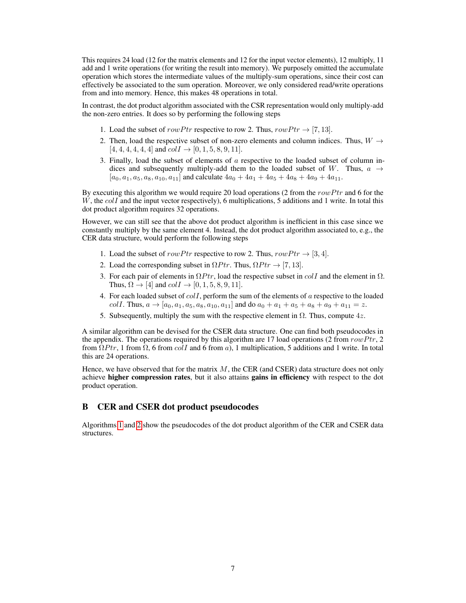This requires 24 load (12 for the matrix elements and 12 for the input vector elements), 12 multiply, 11 add and 1 write operations (for writing the result into memory). We purposely omitted the accumulate operation which stores the intermediate values of the multiply-sum operations, since their cost can effectively be associated to the sum operation. Moreover, we only considered read/write operations from and into memory. Hence, this makes 48 operations in total.

In contrast, the dot product algorithm associated with the CSR representation would only multiply-add the non-zero entries. It does so by performing the following steps

- 1. Load the subset of rowPtr respective to row 2. Thus,  $rowPtr \rightarrow [7, 13]$ .
- 2. Then, load the respective subset of non-zero elements and column indices. Thus,  $W \rightarrow$  $[4, 4, 4, 4, 4, 4]$  and  $coll \rightarrow [0, 1, 5, 8, 9, 11]$ .
- 3. Finally, load the subset of elements of a respective to the loaded subset of column indices and subsequently multiply-add them to the loaded subset of W. Thus,  $a \rightarrow$  $[a_0, a_1, a_5, a_8, a_{10}, a_{11}]$  and calculate  $4a_0 + 4a_1 + 4a_5 + 4a_8 + 4a_9 + 4a_{11}$ .

By executing this algorithm we would require 20 load operations (2 from the row Ptr and 6 for the  $W$ , the  $coll$  and the input vector respectively), 6 multiplications, 5 additions and 1 write. In total this dot product algorithm requires 32 operations.

However, we can still see that the above dot product algorithm is inefficient in this case since we constantly multiply by the same element 4. Instead, the dot product algorithm associated to, e.g., the CER data structure, would perform the following steps

- 1. Load the subset of  $rowPtr$  respective to row 2. Thus,  $rowPtr \rightarrow [3, 4]$ .
- 2. Load the corresponding subset in  $\Omega P tr$ . Thus,  $\Omega P tr \rightarrow [7, 13]$ .
- 3. For each pair of elements in  $\Omega P tr$ , load the respective subset in colI and the element in  $\Omega$ . Thus,  $\Omega \rightarrow [4]$  and  $coll \rightarrow [0, 1, 5, 8, 9, 11]$ .
- 4. For each loaded subset of  $colI$ , perform the sum of the elements of  $a$  respective to the loaded  $coll.$  Thus,  $a \rightarrow [a_0, a_1, a_5, a_8, a_{10}, a_{11}]$  and do  $a_0 + a_1 + a_5 + a_8 + a_9 + a_{11} = z$ .
- 5. Subsequently, multiply the sum with the respective element in  $\Omega$ . Thus, compute 4z.

A similar algorithm can be devised for the CSER data structure. One can find both pseudocodes in the appendix. The operations required by this algorithm are 17 load operations (2 from row Ptr, 2 from  $\Omega P tr$ , 1 from  $\Omega$ , 6 from colI and 6 from a), 1 multiplication, 5 additions and 1 write. In total this are 24 operations.

Hence, we have observed that for the matrix  $M$ , the CER (and CSER) data structure does not only achieve higher compression rates, but it also attains gains in efficiency with respect to the dot product operation.

# B CER and CSER dot product pseudocodes

Algorithms [1](#page-7-0) and [2](#page-7-1) show the pseudocodes of the dot product algorithm of the CER and CSER data structures.